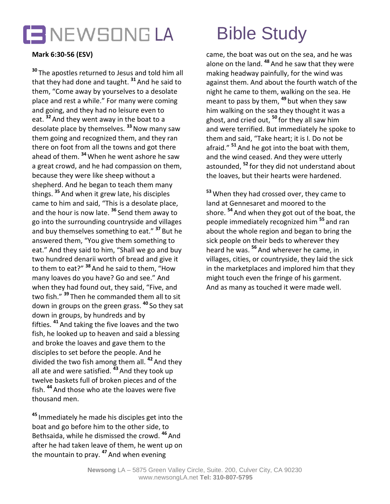

## **Mark 6:30-56 (ESV)**

**<sup>30</sup>** The apostles returned to Jesus and told him all that they had done and taught. **<sup>31</sup>** And he said to them, "Come away by yourselves to a desolate place and rest a while." For many were coming and going, and they had no leisure even to eat. **<sup>32</sup>** And they went away in the boat to a desolate place by themselves. **<sup>33</sup>**Now many saw them going and recognized them, and they ran there on foot from all the towns and got there ahead of them. **<sup>34</sup>** When he went ashore he saw a great crowd, and he had compassion on them, because they were like sheep without a shepherd. And he began to teach them many things. **<sup>35</sup>** And when it grew late, his disciples came to him and said, "This is a desolate place, and the hour is now late. **<sup>36</sup>** Send them away to go into the surrounding countryside and villages and buy themselves something to eat." **<sup>37</sup>** But he answered them, "You give them something to eat." And they said to him, "Shall we go and buy two hundred denarii worth of bread and give it to them to eat?" **<sup>38</sup>**And he said to them, "How many loaves do you have? Go and see." And when they had found out, they said, "Five, and two fish." **<sup>39</sup>** Then he commanded them all to sit down in groups on the green grass. **<sup>40</sup>** So they sat down in groups, by hundreds and by fifties. **<sup>41</sup>** And taking the five loaves and the two fish, he looked up to heaven and said a blessing and broke the loaves and gave them to the disciples to set before the people. And he divided the two fish among them all. **<sup>42</sup>** And they all ate and were satisfied. **<sup>43</sup>** And they took up twelve baskets full of broken pieces and of the fish. **<sup>44</sup>** And those who ate the loaves were five thousand men.

**<sup>45</sup>** Immediately he made his disciples get into the boat and go before him to the other side, to Bethsaida, while he dismissed the crowd. **<sup>46</sup>** And after he had taken leave of them, he went up on the mountain to pray. **<sup>47</sup>** And when evening

came, the boat was out on the sea, and he was alone on the land. **<sup>48</sup>** And he saw that they were making headway painfully, for the wind was against them. And about the fourth watch of the night he came to them, walking on the sea. He meant to pass by them, **<sup>49</sup>** but when they saw him walking on the sea they thought it was a ghost, and cried out, **<sup>50</sup>** for they all saw him and were terrified. But immediately he spoke to them and said, "Take heart; it is I. Do not be afraid." **<sup>51</sup>** And he got into the boat with them, and the wind ceased. And they were utterly astounded, **<sup>52</sup>** for they did not understand about the loaves, but their hearts were hardened.

**<sup>53</sup>** When they had crossed over, they came to land at Gennesaret and moored to the shore. **<sup>54</sup>** And when they got out of the boat, the people immediately recognized him **<sup>55</sup>** and ran about the whole region and began to bring the sick people on their beds to wherever they heard he was. **<sup>56</sup>** And wherever he came, in villages, cities, or countryside, they laid the sick in the marketplaces and implored him that they might touch even the fringe of his garment. And as many as touched it were made well.